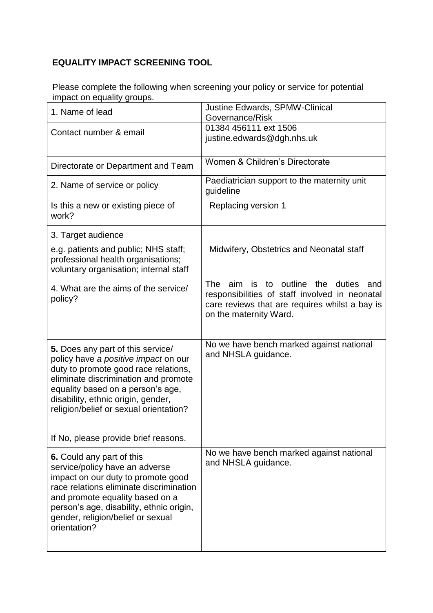## **EQUALITY IMPACT SCREENING TOOL**

Please complete the following when screening your policy or service for potential impact on equality groups.

| 1. Name of lead                                                                                                                                                                                                                                                                                                        | Justine Edwards, SPMW-Clinical<br>Governance/Risk                                                                                                                                        |
|------------------------------------------------------------------------------------------------------------------------------------------------------------------------------------------------------------------------------------------------------------------------------------------------------------------------|------------------------------------------------------------------------------------------------------------------------------------------------------------------------------------------|
| Contact number & email                                                                                                                                                                                                                                                                                                 | 01384 456111 ext 1506<br>justine.edwards@dgh.nhs.uk                                                                                                                                      |
| Directorate or Department and Team                                                                                                                                                                                                                                                                                     | Women & Children's Directorate                                                                                                                                                           |
| 2. Name of service or policy                                                                                                                                                                                                                                                                                           | Paediatrician support to the maternity unit<br>guideline                                                                                                                                 |
| Is this a new or existing piece of<br>work?                                                                                                                                                                                                                                                                            | <b>Replacing version 1</b>                                                                                                                                                               |
| 3. Target audience                                                                                                                                                                                                                                                                                                     |                                                                                                                                                                                          |
| e.g. patients and public; NHS staff;<br>professional health organisations;<br>voluntary organisation; internal staff                                                                                                                                                                                                   | Midwifery, Obstetrics and Neonatal staff                                                                                                                                                 |
| 4. What are the aims of the service/<br>policy?                                                                                                                                                                                                                                                                        | <b>The</b><br>outline the<br>aim<br>is to<br>duties<br>and<br>responsibilities of staff involved in neonatal<br>care reviews that are requires whilst a bay is<br>on the maternity Ward. |
| 5. Does any part of this service/<br>policy have a positive impact on our<br>duty to promote good race relations,<br>eliminate discrimination and promote<br>equality based on a person's age,<br>disability, ethnic origin, gender,<br>religion/belief or sexual orientation?<br>If No, please provide brief reasons. | No we have bench marked against national<br>and NHSLA guidance.                                                                                                                          |
| 6. Could any part of this                                                                                                                                                                                                                                                                                              | No we have bench marked against national                                                                                                                                                 |
| service/policy have an adverse<br>impact on our duty to promote good<br>race relations eliminate discrimination<br>and promote equality based on a<br>person's age, disability, ethnic origin,<br>gender, religion/belief or sexual<br>orientation?                                                                    | and NHSLA guidance.                                                                                                                                                                      |